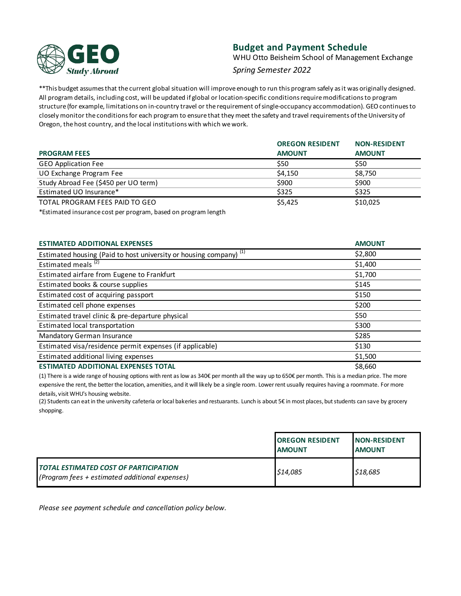

**Budget and Payment Schedule** 

WHU Otto Beisheim School of Management Exchange *Spring Semester 2022*

\*\*This budget assumes that the current global situation will improve enough to run this program safely as it was originally designed. All program details, including cost, will be updated if global or location-specific conditions require modifications to program structure (for example, limitations on in-country travel or the requirement of single-occupancy accommodation). GEO continues to closely monitor the conditions for each program to ensure that they meet the safety and travel requirements of the University of Oregon, the host country, and the local institutions with which we work.

|                                      | <b>OREGON RESIDENT</b> | <b>NON-RESIDENT</b> |
|--------------------------------------|------------------------|---------------------|
| <b>PROGRAM FEES</b>                  | <b>AMOUNT</b>          | <b>AMOUNT</b>       |
| <b>GEO Application Fee</b>           | \$50                   | \$50                |
| UO Exchange Program Fee              | \$4.150                | \$8,750             |
| Study Abroad Fee (\$450 per UO term) | \$900                  | \$900               |
| Estimated UO Insurance*              | \$325                  | \$325               |
| TOTAL PROGRAM FEES PAID TO GEO       | \$5,425                | \$10,025            |

\*Estimated insurance cost per program, based on program length

| <b>ESTIMATED ADDITIONAL EXPENSES</b>                                          | <b>AMOUNT</b> |
|-------------------------------------------------------------------------------|---------------|
| Estimated housing (Paid to host university or housing company) <sup>(1)</sup> | \$2,800       |
| Estimated meals <sup>(2)</sup>                                                | \$1,400       |
| Estimated airfare from Eugene to Frankfurt                                    | \$1,700       |
| Estimated books & course supplies                                             | \$145         |
| Estimated cost of acquiring passport                                          | \$150         |
| Estimated cell phone expenses                                                 | \$200         |
| Estimated travel clinic & pre-departure physical                              | \$50          |
| Estimated local transportation                                                | \$300         |
| <b>Mandatory German Insurance</b>                                             | \$285         |
| Estimated visa/residence permit expenses (if applicable)                      | \$130         |
| Estimated additional living expenses                                          | \$1,500       |
| <b>ESTIMATED ADDITIONAL EXPENSES TOTAL</b>                                    | \$8,660       |

(1) There is a wide range of housing options with rent as low as 340€ per month all the way up to 650€ per month. This is a median price. The more expensive the rent, the better the location, amenities, and it will likely be a single room. Lower rent usually requires having a roommate. For more details, visit WHU's housing website.

(2) Students can eat in the university cafeteria or local bakeries and restuarants. Lunch is about 5€ in most places, but students can save by grocery shopping.

|                                                                                                  | <b>OREGON RESIDENT</b><br><b>AMOUNT</b> | <b>INON-RESIDENT</b><br><b>AMOUNT</b> |
|--------------------------------------------------------------------------------------------------|-----------------------------------------|---------------------------------------|
| <b>TOTAL ESTIMATED COST OF PARTICIPATION</b><br>$(Program fees + estimated additional expenses)$ | \$14,085                                | \$18,685                              |

*Please see payment schedule and cancellation policy below.*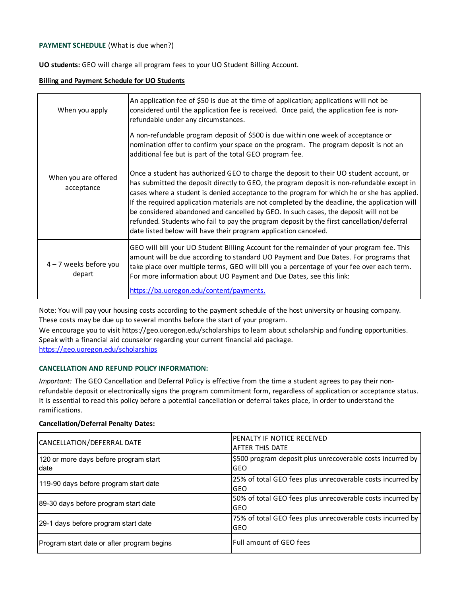## **PAYMENT SCHEDULE** (What is due when?)

**UO students:** GEO will charge all program fees to your UO Student Billing Account.

#### **Billing and Payment Schedule for UO Students**

| When you apply                     | An application fee of \$50 is due at the time of application; applications will not be<br>considered until the application fee is received. Once paid, the application fee is non-<br>refundable under any circumstances.                                                                                                                                                                                                                                                                                                                                                                                                                    |
|------------------------------------|----------------------------------------------------------------------------------------------------------------------------------------------------------------------------------------------------------------------------------------------------------------------------------------------------------------------------------------------------------------------------------------------------------------------------------------------------------------------------------------------------------------------------------------------------------------------------------------------------------------------------------------------|
|                                    | A non-refundable program deposit of \$500 is due within one week of acceptance or<br>nomination offer to confirm your space on the program. The program deposit is not an<br>additional fee but is part of the total GEO program fee.                                                                                                                                                                                                                                                                                                                                                                                                        |
| When you are offered<br>acceptance | Once a student has authorized GEO to charge the deposit to their UO student account, or<br>has submitted the deposit directly to GEO, the program deposit is non-refundable except in<br>cases where a student is denied acceptance to the program for which he or she has applied.<br>If the required application materials are not completed by the deadline, the application will<br>be considered abandoned and cancelled by GEO. In such cases, the deposit will not be<br>refunded. Students who fail to pay the program deposit by the first cancellation/deferral<br>date listed below will have their program application canceled. |
| $4 - 7$ weeks before you<br>depart | GEO will bill your UO Student Billing Account for the remainder of your program fee. This<br>amount will be due according to standard UO Payment and Due Dates. For programs that<br>take place over multiple terms, GEO will bill you a percentage of your fee over each term.<br>For more information about UO Payment and Due Dates, see this link:<br>https://ba.uoregon.edu/content/payments.                                                                                                                                                                                                                                           |

Note: You will pay your housing costs according to the payment schedule of the host university or housing company. These costs may be due up to several months before the start of your program.

https://geo.uoregon.edu/scholarships We encourage you to visit https://geo.uoregon.edu/scholarships to learn about scholarship and funding opportunities. Speak with a financial aid counselor regarding your current financial aid package.

# **CANCELLATION AND REFUND POLICY INFORMATION:**

*Important:* The GEO Cancellation and Deferral Policy is effective from the time a student agrees to pay their nonrefundable deposit or electronically signs the program commitment form, regardless of application or acceptance status. It is essential to read this policy before a potential cancellation or deferral takes place, in order to understand the ramifications.

### **Cancellation/Deferral Penalty Dates:**

| CANCELLATION/DEFERRAL DATE                    | PENALTY IF NOTICE RECEIVED<br><b>AFTER THIS DATE</b>                     |
|-----------------------------------------------|--------------------------------------------------------------------------|
| 120 or more days before program start<br>date | \$500 program deposit plus unrecoverable costs incurred by<br><b>GEO</b> |
| 119-90 days before program start date         | 25% of total GEO fees plus unrecoverable costs incurred by<br><b>GEO</b> |
| 89-30 days before program start date          | 50% of total GEO fees plus unrecoverable costs incurred by<br><b>GEO</b> |
| 29-1 days before program start date           | 75% of total GEO fees plus unrecoverable costs incurred by<br><b>GEO</b> |
| Program start date or after program begins    | Full amount of GEO fees                                                  |